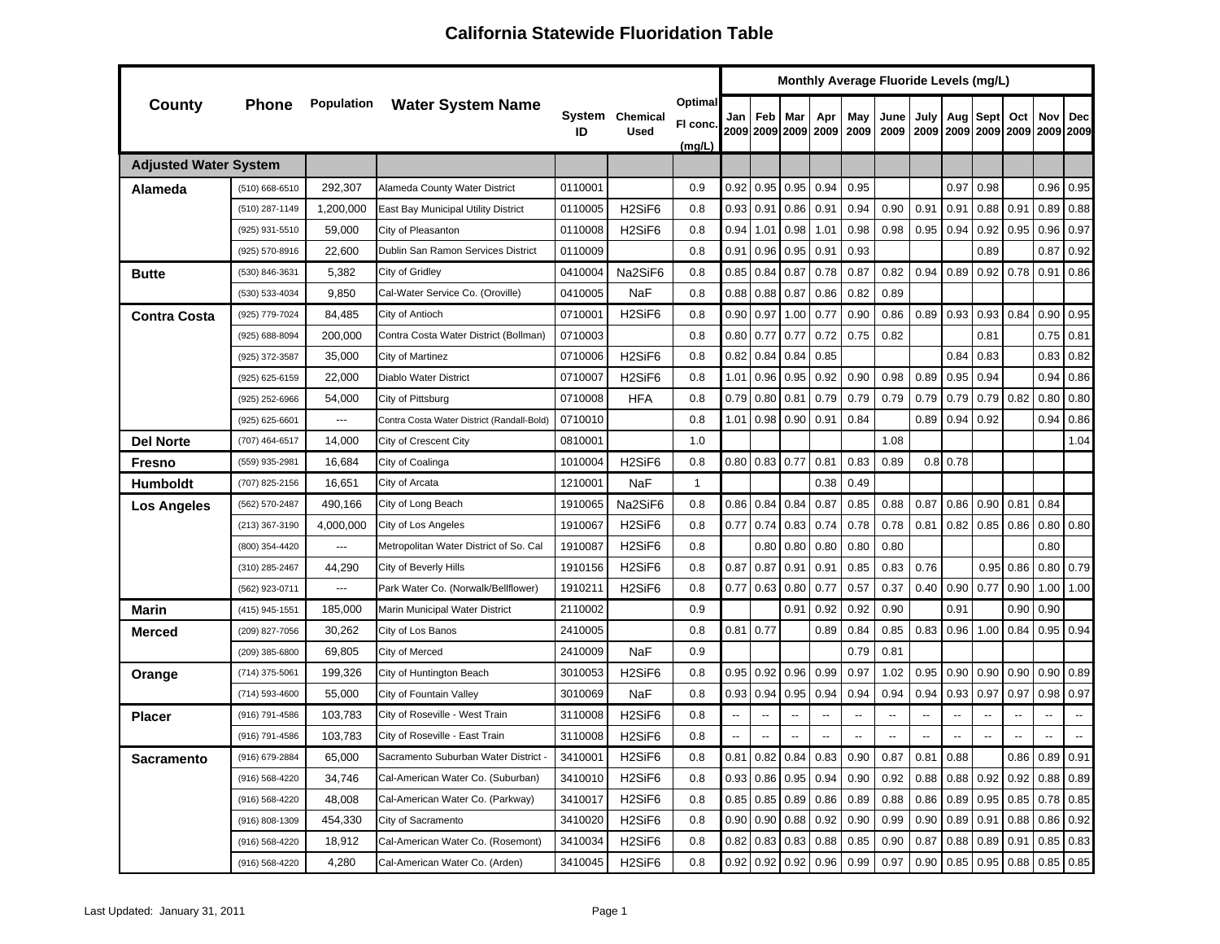|                              |                |                | Monthly Average Fluoride Levels (mg/L)<br>Optimal<br>System Chemical |         |                                 |              |                |                          |                |      |                          |                          |                          |                          |                |                     |                          |                          |
|------------------------------|----------------|----------------|----------------------------------------------------------------------|---------|---------------------------------|--------------|----------------|--------------------------|----------------|------|--------------------------|--------------------------|--------------------------|--------------------------|----------------|---------------------|--------------------------|--------------------------|
| County                       | Phone          |                | <b>Population</b> Water System Name                                  |         |                                 | FI conc.     | Jan            | Feb                      | Mar            | Apr  | May                      | June                     | July                     | Aug                      | Sept           | Oct                 | Nov                      | <b>Dec</b>               |
|                              |                |                |                                                                      | ID      | <b>Used</b>                     | (mg/L)       |                |                          | 2009 2009 2009 | 2009 | 2009                     | 2009                     | 2009                     |                          |                | 2009 2009 2009 2009 |                          | 2009                     |
| <b>Adjusted Water System</b> |                |                |                                                                      |         |                                 |              |                |                          |                |      |                          |                          |                          |                          |                |                     |                          |                          |
| Alameda                      | (510) 668-6510 | 292,307        | Alameda County Water District                                        | 0110001 |                                 | 0.9          | 0.92           | 0.95                     | 0.95           | 0.94 | 0.95                     |                          |                          | 0.97                     | 0.98           |                     | 0.96                     | 0.95                     |
|                              | (510) 287-1149 | 1,200,000      | East Bay Municipal Utility District                                  | 0110005 | H <sub>2</sub> SiF <sub>6</sub> | 0.8          | 0.93           | 0.91                     | 0.86           | 0.91 | 0.94                     | 0.90                     | 0.91                     | 0.91                     | 0.88           | 0.91                | 0.89                     | 0.88                     |
|                              | (925) 931-5510 | 59,000         | City of Pleasanton                                                   | 0110008 | H <sub>2</sub> SiF <sub>6</sub> | 0.8          | 0.94           | 1.01                     | 0.98           | 1.01 | 0.98                     | 0.98                     | 0.95                     | 0.94                     | 0.92           | 0.95                | 0.96                     | 0.97                     |
|                              | (925) 570-8916 | 22,600         | Dublin San Ramon Services District                                   | 0110009 |                                 | 0.8          | 0.91           | 0.96                     | 0.95           | 0.91 | 0.93                     |                          |                          |                          | 0.89           |                     | 0.87                     | 0.92                     |
| <b>Butte</b>                 | (530) 846-3631 | 5,382          | City of Gridley                                                      | 0410004 | Na2SiF6                         | 0.8          | 0.85           | 0.84                     | 0.87           | 0.78 | 0.87                     | 0.82                     | 0.94                     | 0.89                     | 0.92           | 0.78                | 0.91                     | 0.86                     |
|                              | (530) 533-4034 | 9,850          | Cal-Water Service Co. (Oroville)                                     | 0410005 | NaF                             | 0.8          | 0.88           | 0.88                     | 0.87           | 0.86 | 0.82                     | 0.89                     |                          |                          |                |                     |                          |                          |
| <b>Contra Costa</b>          | (925) 779-7024 | 84,485         | City of Antioch                                                      | 0710001 | H <sub>2</sub> SiF <sub>6</sub> | 0.8          | 0.90           | 0.97                     | 1.00           | 0.77 | 0.90                     | 0.86                     | 0.89                     | 0.93                     | 0.93           | 0.84                | 0.90                     | 0.95                     |
|                              | (925) 688-8094 | 200,000        | Contra Costa Water District (Bollman)                                | 0710003 |                                 | 0.8          | 0.80           | 0.77                     | 0.77           | 0.72 | 0.75                     | 0.82                     |                          |                          | 0.81           |                     | 0.75                     | 0.81                     |
|                              | (925) 372-3587 | 35,000         | City of Martinez                                                     | 0710006 | H <sub>2</sub> SiF <sub>6</sub> | 0.8          | 0.82           | 0.84                     | 0.84           | 0.85 |                          |                          |                          | 0.84                     | 0.83           |                     | 0.83                     | 0.82                     |
|                              | (925) 625-6159 | 22,000         | Diablo Water District                                                | 0710007 | H <sub>2</sub> SiF <sub>6</sub> | 0.8          | 1.01           | 0.96                     | 0.95           | 0.92 | 0.90                     | 0.98                     | 0.89                     | 0.95                     | 0.94           |                     | 0.94                     | 0.86                     |
|                              | (925) 252-6966 | 54,000         | City of Pittsburg                                                    | 0710008 | HFA                             | 0.8          | 0.79           | 0.80                     | 0.81           | 0.79 | 0.79                     | 0.79                     | 0.79                     | 0.79                     | 0.79           | 0.82                | 0.80                     | 0.80                     |
|                              | (925) 625-6601 | ---            | Contra Costa Water District (Randall-Bold)                           | 0710010 |                                 | 0.8          | 1.01           | 0.98                     | 0.90           | 0.91 | 0.84                     |                          | 0.89                     | 0.94                     | 0.92           |                     | 0.94                     | 0.86                     |
| <b>Del Norte</b>             | (707) 464-6517 | 14,000         | City of Crescent City                                                | 0810001 |                                 | 1.0          |                |                          |                |      |                          | 1.08                     |                          |                          |                |                     |                          | 1.04                     |
| Fresno                       | (559) 935-2981 | 16,684         | City of Coalinga                                                     | 1010004 | H <sub>2</sub> SiF <sub>6</sub> | 0.8          | 0.80           | 0.83                     | 0.77           | 0.81 | 0.83                     | 0.89                     |                          | $0.8$ 0.78               |                |                     |                          |                          |
| <b>Humboldt</b>              | (707) 825-2156 | 16,651         | City of Arcata                                                       | 1210001 | <b>NaF</b>                      | $\mathbf{1}$ |                |                          |                | 0.38 | 0.49                     |                          |                          |                          |                |                     |                          |                          |
| Los Angeles                  | (562) 570-2487 | 490,166        | City of Long Beach                                                   | 1910065 | Na2SiF6                         | 0.8          | 0.86           | 0.84                     | 0.84           | 0.87 | 0.85                     | 0.88                     | 0.87                     | 0.86                     | 0.90           | 0.81                | 0.84                     |                          |
|                              | (213) 367-3190 | 4,000,000      | City of Los Angeles                                                  | 1910067 | H <sub>2</sub> SiF <sub>6</sub> | 0.8          | 0.77           | 0.74                     | 0.83           | 0.74 | 0.78                     | 0.78                     | 0.81                     | 0.82                     | 0.85           | 0.86                | 0.80                     | 0.80                     |
|                              | (800) 354-4420 | ---            | Metropolitan Water District of So. Cal                               | 1910087 | H <sub>2</sub> SiF <sub>6</sub> | 0.8          |                | 0.80                     | 0.80           | 0.80 | 0.80                     | 0.80                     |                          |                          |                |                     | 0.80                     |                          |
|                              | (310) 285-2467 | 44,290         | City of Beverly Hills                                                | 1910156 | H <sub>2</sub> SiF <sub>6</sub> | 0.8          | 0.87           | 0.87                     | 0.91           | 0.91 | 0.85                     | 0.83                     | 0.76                     |                          | 0.95           | 0.86                | 0.80                     | 0.79                     |
|                              | (562) 923-0711 | $\overline{a}$ | Park Water Co. (Norwalk/Bellflower)                                  | 1910211 | H <sub>2</sub> SiF <sub>6</sub> | 0.8          | 0.77           | 0.63                     | 0.80           | 0.77 | 0.57                     | 0.37                     | 0.40                     | 0.90                     | 0.77           | 0.90                | 1.00                     | 1.00                     |
| <b>Marin</b>                 | (415) 945-1551 | 185,000        | Marin Municipal Water District                                       | 2110002 |                                 | 0.9          |                |                          | 0.91           | 0.92 | 0.92                     | 0.90                     |                          | 0.91                     |                | 0.90                | 0.90                     |                          |
| Merced                       | (209) 827-7056 | 30,262         | City of Los Banos                                                    | 2410005 |                                 | 0.8          | 0.81           | 0.77                     |                | 0.89 | 0.84                     | 0.85                     | 0.83                     | 0.96                     | 1.00           | 0.84                | 0.95                     | 0.94                     |
|                              | (209) 385-6800 | 69,805         | City of Merced                                                       | 2410009 | <b>NaF</b>                      | 0.9          |                |                          |                |      | 0.79                     | 0.81                     |                          |                          |                |                     |                          |                          |
| Orange                       | (714) 375-5061 | 199,326        | City of Huntington Beach                                             | 3010053 | H <sub>2</sub> SiF <sub>6</sub> | 0.8          | 0.95           | 0.92                     | 0.96           | 0.99 | 0.97                     | 1.02                     | 0.95                     | 0.90                     | 0.90           | 0.90                | 0.90                     | 0.89                     |
|                              | (714) 593-4600 | 55,000         | City of Fountain Valley                                              | 3010069 | NaF                             | 0.8          | 0.93           | 0.94                     | 0.95           | 0.94 | 0.94                     | 0.94                     | 0.94                     | 0.93                     | 0.97           | 0.97                | 0.98                     | 0.97                     |
| <b>Placer</b>                | (916) 791-4586 | 103,783        | City of Roseville - West Train                                       | 3110008 | H <sub>2</sub> SiF <sub>6</sub> | 0.8          | $\overline{a}$ | $\overline{\phantom{a}}$ | $\overline{a}$ | --   | $\overline{\phantom{a}}$ | $\overline{a}$           | $\overline{\phantom{a}}$ | $\overline{a}$           | $\overline{a}$ | $\overline{a}$      | $\overline{a}$           | $\overline{\phantom{a}}$ |
|                              | (916) 791-4586 | 103,783        | City of Roseville - East Train                                       | 3110008 | H <sub>2</sub> SiF <sub>6</sub> | 0.8          | Ξ.             | $\overline{a}$           |                | Ξ.   | $\overline{a}$           | $\overline{\phantom{a}}$ |                          | $\overline{\phantom{a}}$ |                |                     | $\overline{\phantom{a}}$ | $\overline{\phantom{a}}$ |
| Sacramento                   | (916) 679-2884 | 65,000         | Sacramento Suburban Water District -                                 | 3410001 | H <sub>2</sub> SiF <sub>6</sub> | 0.8          | 0.81           | 0.82                     | 0.84           | 0.83 | 0.90                     | 0.87                     | 0.81                     | 0.88                     |                | 0.86                | 0.89                     | 0.91                     |
|                              | (916) 568-4220 | 34,746         | Cal-American Water Co. (Suburban)                                    | 3410010 | H <sub>2</sub> SiF <sub>6</sub> | 0.8          | 0.93           | 0.86                     | 0.95           | 0.94 | 0.90                     | 0.92                     | 0.88                     | 0.88                     | 0.92           | 0.92                | 0.88                     | 0.89                     |
|                              | (916) 568-4220 | 48,008         | Cal-American Water Co. (Parkway)                                     | 3410017 | H <sub>2</sub> SiF <sub>6</sub> | 0.8          | 0.85           | 0.85                     | 0.89           | 0.86 | 0.89                     | 0.88                     | 0.86                     | 0.89                     | 0.95           | 0.85                | 0.78                     | 0.85                     |
|                              | (916) 808-1309 | 454,330        | City of Sacramento                                                   | 3410020 | H <sub>2</sub> SiF <sub>6</sub> | 0.8          | 0.90           | 0.90                     | 0.88           | 0.92 | 0.90                     | 0.99                     | 0.90                     | 0.89                     | 0.91           | 0.88                | 0.86                     | 0.92                     |
|                              | (916) 568-4220 | 18,912         | Cal-American Water Co. (Rosemont)                                    | 3410034 | H <sub>2</sub> SiF <sub>6</sub> | 0.8          | 0.82           | 0.83                     | 0.83           | 0.88 | 0.85                     | 0.90                     | 0.87                     | 0.88                     | 0.89           | 0.91                | 0.85                     | 0.83                     |
|                              | (916) 568-4220 | 4,280          | Cal-American Water Co. (Arden)                                       | 3410045 | H <sub>2</sub> SiF <sub>6</sub> | 0.8          | 0.92           | 0.92                     | 0.92           | 0.96 | 0.99                     | 0.97                     | 0.90                     | 0.85                     | 0.95           | 0.88                | 0.85                     | 0.85                     |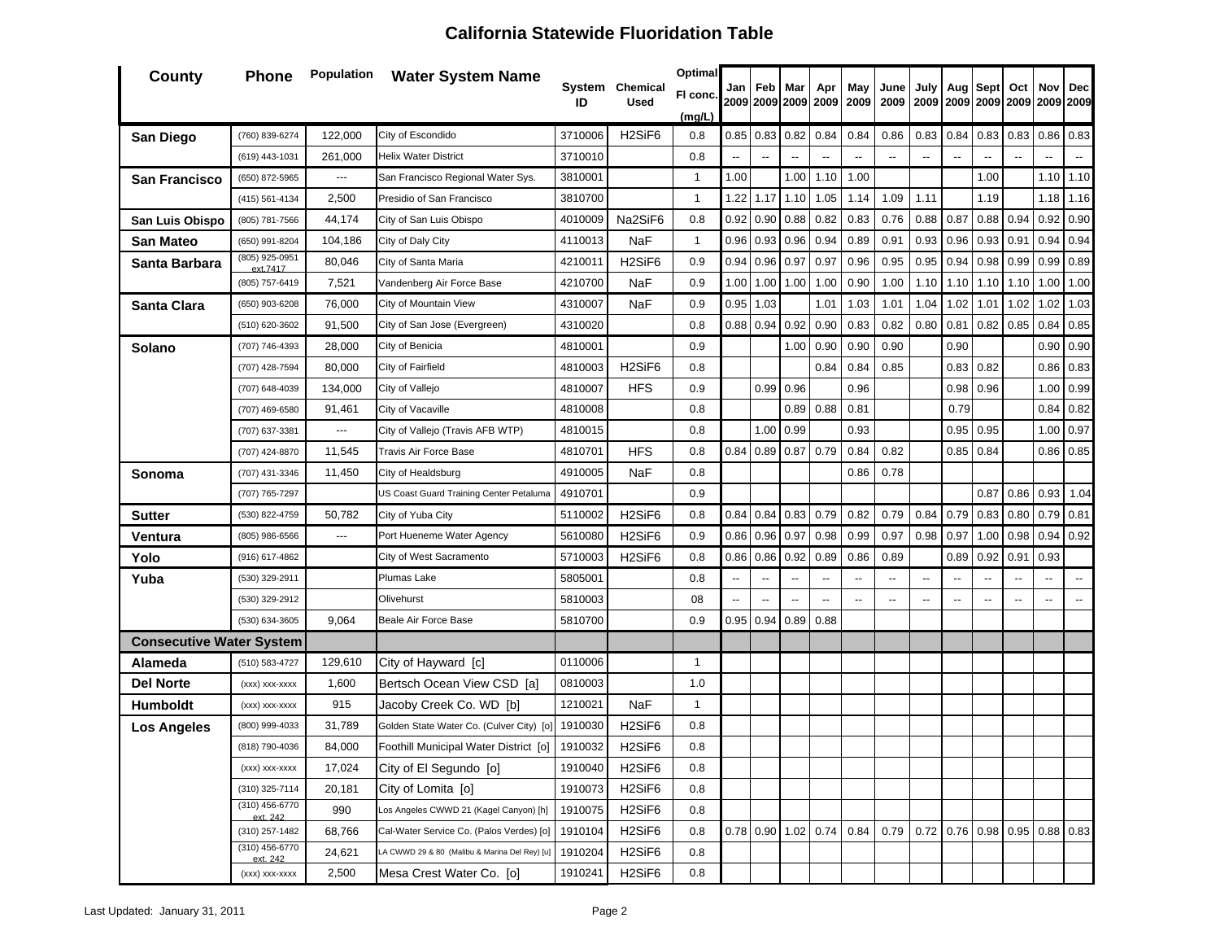| <b>County</b>                   | <b>Phone</b>               | Population | <b>Water System Name</b>                      |         | System Chemical                 | <b>Optimal</b> | Jan            | Feb                      | Mar            | Apr            | May                      | June                     | July                     | Aug                             | Sept                | Oct  | Nov                      | <b>Dec</b>               |
|---------------------------------|----------------------------|------------|-----------------------------------------------|---------|---------------------------------|----------------|----------------|--------------------------|----------------|----------------|--------------------------|--------------------------|--------------------------|---------------------------------|---------------------|------|--------------------------|--------------------------|
|                                 |                            |            |                                               | ID      | <b>Used</b>                     | FI conc.       |                |                          | 2009 2009 2009 | 2009           | 2009                     | 2009                     | 2009                     |                                 | 2009 2009 2009 2009 |      |                          | 2009                     |
| San Diego                       | (760) 839-6274             | 122,000    | City of Escondido                             | 3710006 | H <sub>2</sub> SiF <sub>6</sub> | (mg/L)<br>0.8  | 0.85           | 0.83                     | 0.82           | 0.84           | 0.84                     | 0.86                     | 0.83                     | 0.84                            | 0.83                | 0.83 | 0.86                     | 0.83                     |
|                                 | (619) 443-1031             | 261,000    | <b>Helix Water District</b>                   | 3710010 |                                 | 0.8            |                | $\overline{\phantom{a}}$ |                |                |                          |                          |                          |                                 |                     |      |                          |                          |
| San Francisco                   | (650) 872-5965             | ---        | San Francisco Regional Water Sys.             | 3810001 |                                 | $\mathbf{1}$   | 1.00           |                          | 1.00           | 1.10           | 1.00                     |                          |                          |                                 | 1.00                |      | 1.10                     | 1.10                     |
|                                 | (415) 561-4134             | 2,500      | Presidio of San Francisco                     | 3810700 |                                 | $\mathbf{1}$   | 1.22           | 1.17                     | 1.10           | 1.05           | 1.14                     | 1.09                     | 1.11                     |                                 | 1.19                |      | 1.18                     | 1.16                     |
| San Luis Obispo                 | (805) 781-7566             | 44,174     | City of San Luis Obispo                       | 4010009 | Na2SiF6                         | 0.8            | 0.92           | 0.90                     | 0.88           | 0.82           | 0.83                     | 0.76                     | 0.88                     | 0.87                            | 0.88                | 0.94 | 0.92                     | 0.90                     |
| San Mateo                       | (650) 991-8204             | 104,186    | City of Daly City                             | 4110013 | <b>NaF</b>                      | $\mathbf{1}$   | 0.96           | 0.93                     | 0.96           | 0.94           | 0.89                     | 0.91                     | 0.93                     | 0.96                            | 0.93                | 0.91 | 0.94                     | 0.94                     |
| Santa Barbara                   | (805) 925-0951             | 80,046     | City of Santa Maria                           | 4210011 | H <sub>2</sub> SiF <sub>6</sub> | 0.9            | 0.94           | 0.96                     | 0.97           | 0.97           | 0.96                     | 0.95                     | 0.95                     | 0.94                            | 0.98                | 0.99 | 0.99                     | 0.89                     |
|                                 | ext.7417<br>(805) 757-6419 | 7,521      | Vandenberg Air Force Base                     | 4210700 | NaF                             | 0.9            | 1.00           | 1.00                     | 1.00           | 1.00           | 0.90                     | 1.00                     | 1.10                     | 1.10                            | 1.10                | 1.10 | 1.00                     | 1.00                     |
| Santa Clara                     | (650) 903-6208             | 76,000     | City of Mountain View                         | 4310007 | NaF                             | 0.9            | 0.95           | 1.03                     |                | 1.01           | 1.03                     | 1.01                     | 1.04                     | 1.02                            | 1.01                | 1.02 | 1.02                     | 1.03                     |
|                                 | (510) 620-3602             | 91,500     | City of San Jose (Evergreen)                  | 4310020 |                                 | 0.8            | 0.88           | 0.94                     | 0.92           | 0.90           | 0.83                     | 0.82                     | 0.80                     | 0.81                            | 0.82                | 0.85 | 0.84                     | 0.85                     |
| Solano                          | (707) 746-4393             | 28,000     | City of Benicia                               | 4810001 |                                 | 0.9            |                |                          | 1.00           | 0.90           | 0.90                     | 0.90                     |                          | 0.90                            |                     |      | 0.90                     | 0.90                     |
|                                 | (707) 428-7594             | 80,000     | City of Fairfield                             | 4810003 | H <sub>2</sub> SiF <sub>6</sub> | 0.8            |                |                          |                | 0.84           | 0.84                     | 0.85                     |                          | 0.83                            | 0.82                |      | 0.86                     | 0.83                     |
|                                 | (707) 648-4039             | 134,000    | City of Vallejo                               | 4810007 | <b>HFS</b>                      | 0.9            |                | 0.99                     | 0.96           |                | 0.96                     |                          |                          | 0.98                            | 0.96                |      | 1.00                     | 0.99                     |
|                                 | (707) 469-6580             | 91,461     | City of Vacaville                             | 4810008 |                                 | 0.8            |                |                          | 0.89           | 0.88           | 0.81                     |                          |                          | 0.79                            |                     |      | 0.84                     | 0.82                     |
|                                 | (707) 637-3381             | ---        | City of Vallejo (Travis AFB WTP)              | 4810015 |                                 | 0.8            |                | 1.00                     | 0.99           |                | 0.93                     |                          |                          | 0.95                            | 0.95                |      | 1.00                     | 0.97                     |
|                                 | (707) 424-8870             | 11,545     | Travis Air Force Base                         | 4810701 | <b>HFS</b>                      | 0.8            | 0.84           | 0.89                     | 0.87           | 0.79           | 0.84                     | 0.82                     |                          | 0.85                            | 0.84                |      | 0.86                     | 0.85                     |
| Sonoma                          | (707) 431-3346             | 11,450     | City of Healdsburg                            | 4910005 | NaF                             | 0.8            |                |                          |                |                | 0.86                     | 0.78                     |                          |                                 |                     |      |                          |                          |
|                                 | (707) 765-7297             |            | US Coast Guard Training Center Petaluma       | 4910701 |                                 | 0.9            |                |                          |                |                |                          |                          |                          |                                 | 0.87                | 0.86 | 0.93                     | 1.04                     |
| Sutter                          | (530) 822-4759             | 50,782     | City of Yuba City                             | 5110002 | H <sub>2</sub> SiF <sub>6</sub> | 0.8            | 0.84           | 0.84                     | 0.83           | 0.79           | 0.82                     | 0.79                     | 0.84                     | 0.79                            | 0.83                | 0.80 | 0.79                     | 0.81                     |
| Ventura                         | (805) 986-6566             | ---        | Port Hueneme Water Agency                     | 5610080 | H <sub>2</sub> SiF <sub>6</sub> | 0.9            | 0.86           | 0.96                     | 0.97           | 0.98           | 0.99                     | 0.97                     | 0.98                     | 0.97                            | 1.00                | 0.98 | 0.94                     | 0.92                     |
| Yolo                            | (916) 617-4862             |            | City of West Sacramento                       | 5710003 | H <sub>2</sub> SiF <sub>6</sub> | 0.8            | 0.86           | 0.86                     | 0.92           | 0.89           | 0.86                     | 0.89                     |                          | 0.89                            | 0.92                | 0.91 | 0.93                     |                          |
| Yuba                            | (530) 329-2911             |            | Plumas Lake                                   | 5805001 |                                 | 0.8            | $\overline{a}$ | $\overline{\phantom{a}}$ |                | $\overline{a}$ | $\overline{\phantom{a}}$ | $\overline{\phantom{a}}$ | $\overline{a}$           |                                 | $\overline{a}$      |      | $\overline{\phantom{a}}$ | $\overline{\phantom{a}}$ |
|                                 | (530) 329-2912             |            | Olivehurst                                    | 5810003 |                                 | 08             |                | $\overline{\phantom{a}}$ |                | --             | $\overline{a}$           | $\overline{\phantom{a}}$ | $\overline{\phantom{a}}$ | --                              | $\overline{a}$      | --   | --                       | $\overline{\phantom{a}}$ |
|                                 | (530) 634-3605             | 9,064      | Beale Air Force Base                          | 5810700 |                                 | 0.9            | 0.95           | 0.94                     | 0.89           | 0.88           |                          |                          |                          |                                 |                     |      |                          |                          |
| <b>Consecutive Water System</b> |                            |            |                                               |         |                                 |                |                |                          |                |                |                          |                          |                          |                                 |                     |      |                          |                          |
| Alameda                         | (510) 583-4727             | 129,610    | City of Hayward [c]                           | 0110006 |                                 | $\mathbf{1}$   |                |                          |                |                |                          |                          |                          |                                 |                     |      |                          |                          |
| Del Norte                       | (xxx) xxx-xxxx             | 1,600      | Bertsch Ocean View CSD [a]                    | 0810003 |                                 | 1.0            |                |                          |                |                |                          |                          |                          |                                 |                     |      |                          |                          |
| <b>Humboldt</b>                 | (xxx) xxx-xxxx             | 915        | Jacoby Creek Co. WD [b]                       | 1210021 | NaF                             | 1              |                |                          |                |                |                          |                          |                          |                                 |                     |      |                          |                          |
| <b>Los Angeles</b>              | (800) 999-4033             | 31,789     | Golden State Water Co. (Culver City) [o]      | 1910030 | H <sub>2</sub> SiF <sub>6</sub> | 0.8            |                |                          |                |                |                          |                          |                          |                                 |                     |      |                          |                          |
|                                 | (818) 790-4036             | 84,000     | Foothill Municipal Water District [o]         | 1910032 | H <sub>2</sub> SiF <sub>6</sub> | 0.8            |                |                          |                |                |                          |                          |                          |                                 |                     |      |                          |                          |
|                                 | (xxx) xxx-xxxx             | 17,024     | City of El Segundo [o]                        | 1910040 | H <sub>2</sub> SiF <sub>6</sub> | 0.8            |                |                          |                |                |                          |                          |                          |                                 |                     |      |                          |                          |
|                                 | (310) 325-7114             | 20,181     | City of Lomita [o]                            | 1910073 | H <sub>2</sub> SiF <sub>6</sub> | 0.8            |                |                          |                |                |                          |                          |                          |                                 |                     |      |                          |                          |
|                                 | (310) 456-6770<br>ext. 242 | 990        | Los Angeles CWWD 21 (Kagel Canyon) [h]        | 1910075 | H <sub>2</sub> SiF <sub>6</sub> | 0.8            |                |                          |                |                |                          |                          |                          |                                 |                     |      |                          |                          |
|                                 | (310) 257-1482             | 68,766     | Cal-Water Service Co. (Palos Verdes) [o]      | 1910104 | H <sub>2</sub> SiF <sub>6</sub> | 0.8            | 0.78           | 0.90                     | 1.02 0.74      |                | 0.84                     | 0.79                     |                          | $0.72$ 0.76 0.98 0.95 0.88 0.83 |                     |      |                          |                          |
|                                 | (310) 456-6770<br>ext. 242 | 24,621     | LA CWWD 29 & 80 (Malibu & Marina Del Rey) [u] | 1910204 | H <sub>2</sub> SiF <sub>6</sub> | 0.8            |                |                          |                |                |                          |                          |                          |                                 |                     |      |                          |                          |
|                                 | (xxx) xxx-xxxx             | 2,500      | Mesa Crest Water Co. [o]                      | 1910241 | H <sub>2</sub> SiF <sub>6</sub> | 0.8            |                |                          |                |                |                          |                          |                          |                                 |                     |      |                          |                          |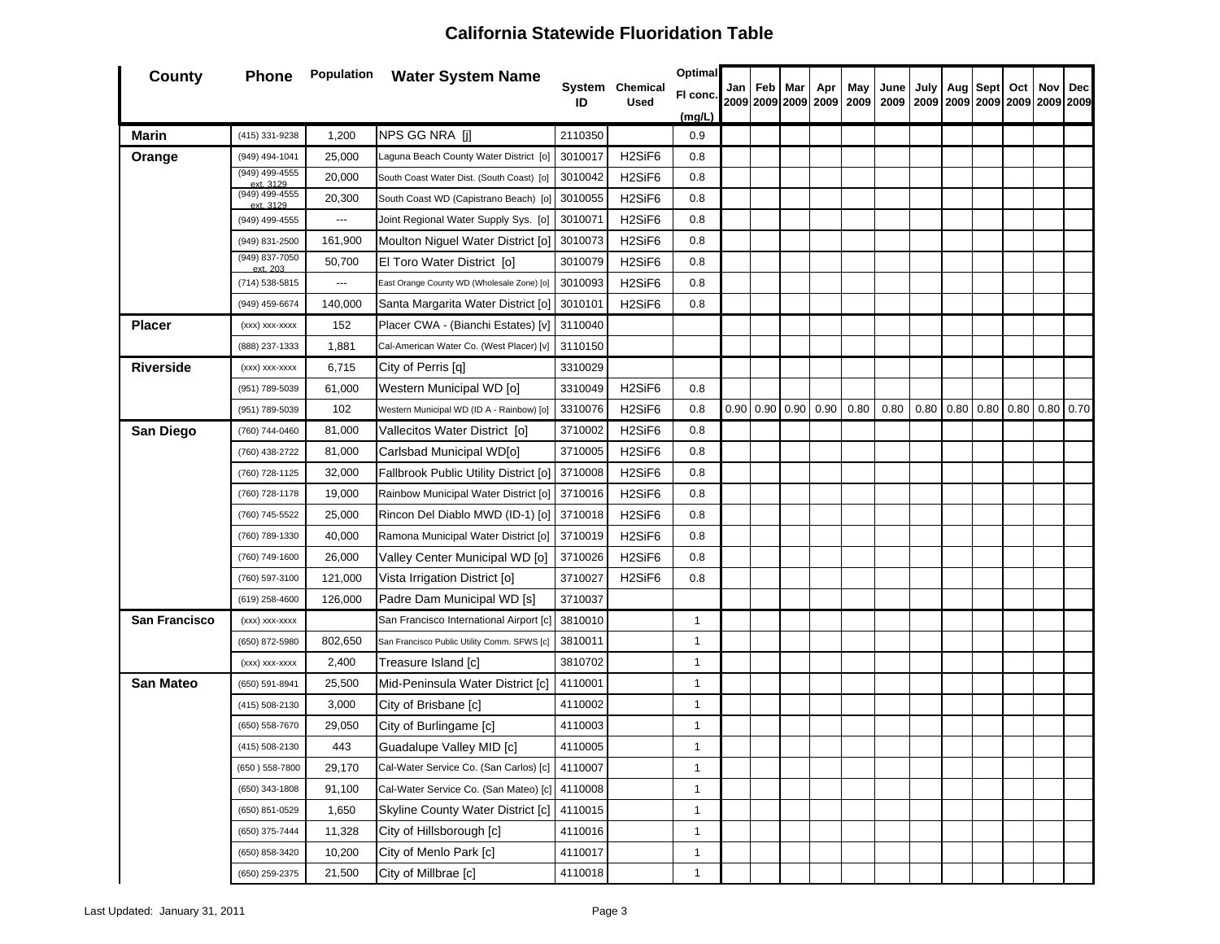| <b>County</b>    | Phone                       |                          | <b>Population</b> Water System Name            |                    |                                 | <b>Optimal</b> |     |     |     |                             |      |      |      |                                                     |          |     |     |     |
|------------------|-----------------------------|--------------------------|------------------------------------------------|--------------------|---------------------------------|----------------|-----|-----|-----|-----------------------------|------|------|------|-----------------------------------------------------|----------|-----|-----|-----|
|                  |                             |                          |                                                | ID                 | System Chemical<br><b>Used</b>  | FI conc.       | Jan | Feb | Mar | Apr                         | May  | June | July |                                                     | Aug Sept | Oct | Nov | Dec |
|                  |                             |                          |                                                |                    |                                 | (mg/L)         |     |     |     |                             |      |      |      |                                                     |          |     |     |     |
| Marin            | (415) 331-9238              | 1,200                    | NPS GG NRA [j]                                 | 2110350            |                                 | 0.9            |     |     |     |                             |      |      |      |                                                     |          |     |     |     |
| Orange           | (949) 494-1041              | 25,000                   | Laguna Beach County Water District [0]         | 3010017            | H <sub>2</sub> SiF <sub>6</sub> | 0.8            |     |     |     |                             |      |      |      |                                                     |          |     |     |     |
|                  | (949) 499-4555<br>ext. 3129 | 20,000                   | South Coast Water Dist. (South Coast) [o]      | 3010042            | H <sub>2</sub> SiF <sub>6</sub> | 0.8            |     |     |     |                             |      |      |      |                                                     |          |     |     |     |
|                  | (949) 499-4555<br>ext. 3129 | 20,300                   | South Coast WD (Capistrano Beach) [o]          | 3010055            | H <sub>2</sub> SiF <sub>6</sub> | 0.8            |     |     |     |                             |      |      |      |                                                     |          |     |     |     |
|                  | (949) 499-4555              | $\hspace{0.05cm} \ldots$ | Joint Regional Water Supply Sys. [0]           | 3010071            | H <sub>2</sub> SiF <sub>6</sub> | 0.8            |     |     |     |                             |      |      |      |                                                     |          |     |     |     |
|                  | (949) 831-2500              | 161,900                  | Moulton Niguel Water District [o]              | 3010073            | H <sub>2</sub> SiF <sub>6</sub> | 0.8            |     |     |     |                             |      |      |      |                                                     |          |     |     |     |
|                  | (949) 837-7050<br>ext. 203  | 50,700                   | El Toro Water District [o]                     | 3010079            | H <sub>2</sub> SiF <sub>6</sub> | 0.8            |     |     |     |                             |      |      |      |                                                     |          |     |     |     |
|                  | (714) 538-5815              | ---                      | East Orange County WD (Wholesale Zone) [o]     | 3010093            | H <sub>2</sub> SiF <sub>6</sub> | 0.8            |     |     |     |                             |      |      |      |                                                     |          |     |     |     |
|                  | (949) 459-6674              | 140,000                  | Santa Margarita Water District [o]             | 3010101            | H <sub>2</sub> SiF <sub>6</sub> | 0.8            |     |     |     |                             |      |      |      |                                                     |          |     |     |     |
| <b>Placer</b>    | (xxx) xxx-xxxx              | 152                      | Placer CWA - (Bianchi Estates) [v]             | 3110040            |                                 |                |     |     |     |                             |      |      |      |                                                     |          |     |     |     |
|                  | (888) 237-1333              | 1,881                    | Cal-American Water Co. (West Placer) [v]       | 3110150            |                                 |                |     |     |     |                             |      |      |      |                                                     |          |     |     |     |
| <b>Riverside</b> | (xxx) xxx-xxxx              | 6,715                    | City of Perris [q]                             | 3310029            |                                 |                |     |     |     |                             |      |      |      |                                                     |          |     |     |     |
|                  | (951) 789-5039              | 61,000                   | Western Municipal WD [o]                       | 3310049            | H <sub>2</sub> SiF <sub>6</sub> | 0.8            |     |     |     |                             |      |      |      |                                                     |          |     |     |     |
|                  | (951) 789-5039              | 102                      | Western Municipal WD (ID A - Rainbow) [o]      | 3310076            | H <sub>2</sub> SiF <sub>6</sub> | 0.8            |     |     |     | $0.90$   0.90   0.90   0.90 | 0.80 | 0.80 |      | $0.80$   $0.80$   $0.80$   $0.80$   $0.80$   $0.70$ |          |     |     |     |
| San Diego        | (760) 744-0460              | 81,000                   | Vallecitos Water District [o]                  | 3710002            | H <sub>2</sub> SiF <sub>6</sub> | 0.8            |     |     |     |                             |      |      |      |                                                     |          |     |     |     |
|                  | (760) 438-2722              | 81,000                   | Carlsbad Municipal WD[o]                       | 3710005            | H <sub>2</sub> SiF <sub>6</sub> | 0.8            |     |     |     |                             |      |      |      |                                                     |          |     |     |     |
|                  | (760) 728-1125              | 32,000                   | Fallbrook Public Utility District [o]          |                    | H <sub>2</sub> SiF <sub>6</sub> | 0.8            |     |     |     |                             |      |      |      |                                                     |          |     |     |     |
|                  | (760) 728-1178              | 19,000                   | Rainbow Municipal Water District [o] 3710016   |                    | H <sub>2</sub> SiF <sub>6</sub> | 0.8            |     |     |     |                             |      |      |      |                                                     |          |     |     |     |
|                  | (760) 745-5522              | 25,000                   | Rincon Del Diablo MWD (ID-1) [o] 3710018       |                    | H <sub>2</sub> SiF <sub>6</sub> | 0.8            |     |     |     |                             |      |      |      |                                                     |          |     |     |     |
|                  | (760) 789-1330              | 40,000                   | Ramona Municipal Water District [o] 3710019    | 3710008<br>3710026 |                                 | 0.8            |     |     |     |                             |      |      |      |                                                     |          |     |     |     |
|                  | (760) 749-1600              | 26,000                   | Valley Center Municipal WD [o]                 |                    | H <sub>2</sub> SiF <sub>6</sub> | 0.8            |     |     |     |                             |      |      |      |                                                     |          |     |     |     |
|                  | (760) 597-3100              | 121,000                  | Vista Irrigation District [o]                  | 3710027            | H <sub>2</sub> SiF <sub>6</sub> | 0.8            |     |     |     |                             |      |      |      |                                                     |          |     |     |     |
|                  | (619) 258-4600              | 126,000                  | Padre Dam Municipal WD [s]                     | 3710037            |                                 |                |     |     |     |                             |      |      |      |                                                     |          |     |     |     |
| San Francisco    | (xxx) xxx-xxxx              |                          | San Francisco International Airport [c]        | 3810010            |                                 | $\mathbf{1}$   |     |     |     |                             |      |      |      |                                                     |          |     |     |     |
|                  | (650) 872-5980              | 802,650                  | San Francisco Public Utility Comm. SFWS [c]    | 3810011            |                                 | $\mathbf{1}$   |     |     |     |                             |      |      |      |                                                     |          |     |     |     |
|                  | (xxx) xxx-xxxx              | 2,400                    | Treasure Island [c]                            | 3810702            |                                 | $\mathbf{1}$   |     |     |     |                             |      |      |      |                                                     |          |     |     |     |
| <b>San Mateo</b> | (650) 591-8941              | 25,500                   | Mid-Peninsula Water District [c]               | 4110001            |                                 | $\mathbf{1}$   |     |     |     |                             |      |      |      |                                                     |          |     |     |     |
|                  | (415) 508-2130              | 3,000                    | City of Brisbane [c]                           | 4110002            |                                 | $\mathbf{1}$   |     |     |     |                             |      |      |      |                                                     |          |     |     |     |
|                  | (650) 558-7670              | 29,050                   | City of Burlingame [c]                         | 4110003            |                                 | 1              |     |     |     |                             |      |      |      |                                                     |          |     |     |     |
|                  | (415) 508-2130              | 443                      | Guadalupe Valley MID [c]                       | 4110005            |                                 | $\mathbf{1}$   |     |     |     |                             |      |      |      |                                                     |          |     |     |     |
|                  | (650) 558-7800              | 29,170                   | Cal-Water Service Co. (San Carlos) [c] 4110007 |                    |                                 | 1              |     |     |     |                             |      |      |      |                                                     |          |     |     |     |
|                  | (650) 343-1808              | 91,100                   | Cal-Water Service Co. (San Mateo) [c]          | 4110008            |                                 | 1              |     |     |     |                             |      |      |      |                                                     |          |     |     |     |
|                  | (650) 851-0529              | 1,650                    | Skyline County Water District [c] 4110015      |                    |                                 | $\mathbf{1}$   |     |     |     |                             |      |      |      |                                                     |          |     |     |     |
|                  | (650) 375-7444              | 11,328                   | City of Hillsborough [c]                       | 4110016            |                                 | $\mathbf{1}$   |     |     |     |                             |      |      |      |                                                     |          |     |     |     |
|                  | (650) 858-3420              | 10,200                   | City of Menlo Park [c]                         | 4110017            |                                 | $\mathbf{1}$   |     |     |     |                             |      |      |      |                                                     |          |     |     |     |
|                  | (650) 259-2375              | 21,500                   | City of Millbrae [c]                           | 4110018            |                                 | $\mathbf{1}$   |     |     |     |                             |      |      |      |                                                     |          |     |     |     |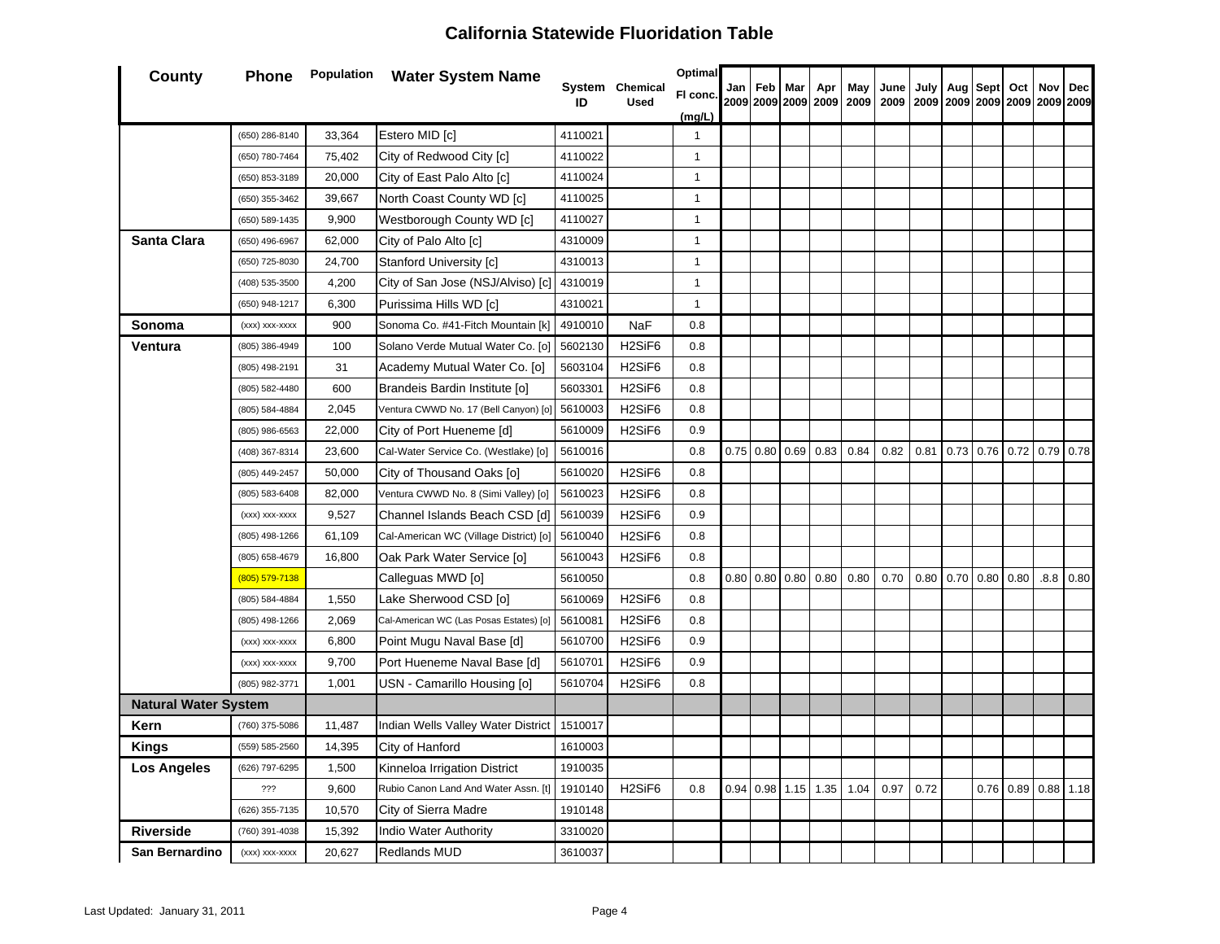| County                      | <b>Phone</b>   |        | <b>Population</b> Water System Name     |         |                                 | Optimal      |      |             |                  |                            |             |              |              |      |                  |                |     |                  |
|-----------------------------|----------------|--------|-----------------------------------------|---------|---------------------------------|--------------|------|-------------|------------------|----------------------------|-------------|--------------|--------------|------|------------------|----------------|-----|------------------|
|                             |                |        |                                         | ID      | System Chemical<br><b>Used</b>  | FI conc.     |      | Jan Feb Mar |                  | Apr<br>2009 2009 2009 2009 | May<br>2009 | June<br>2009 | July<br>2009 |      | Aug   Sept   Oct | 2009 2009 2009 | Nov | Dec<br>2009 2009 |
|                             |                |        |                                         |         |                                 | (mg/L)       |      |             |                  |                            |             |              |              |      |                  |                |     |                  |
|                             | (650) 286-8140 | 33,364 | Estero MID [c]                          | 4110021 |                                 | $\mathbf{1}$ |      |             |                  |                            |             |              |              |      |                  |                |     |                  |
|                             | (650) 780-7464 | 75,402 | City of Redwood City [c]                | 4110022 |                                 | $\mathbf{1}$ |      |             |                  |                            |             |              |              |      |                  |                |     |                  |
|                             | (650) 853-3189 | 20,000 | City of East Palo Alto [c]              | 4110024 |                                 | $\mathbf{1}$ |      |             |                  |                            |             |              |              |      |                  |                |     |                  |
|                             | (650) 355-3462 | 39,667 | North Coast County WD [c]               | 4110025 |                                 | $\mathbf{1}$ |      |             |                  |                            |             |              |              |      |                  |                |     |                  |
|                             | (650) 589-1435 | 9,900  | Westborough County WD [c]               | 4110027 |                                 | $\mathbf{1}$ |      |             |                  |                            |             |              |              |      |                  |                |     |                  |
| Santa Clara                 | (650) 496-6967 | 62,000 | City of Palo Alto [c]                   | 4310009 |                                 | $\mathbf{1}$ |      |             |                  |                            |             |              |              |      |                  |                |     |                  |
|                             | (650) 725-8030 | 24,700 | Stanford University [c]                 | 4310013 |                                 | $\mathbf{1}$ |      |             |                  |                            |             |              |              |      |                  |                |     |                  |
|                             | (408) 535-3500 | 4,200  | City of San Jose (NSJ/Alviso) [c]       | 4310019 |                                 | $\mathbf{1}$ |      |             |                  |                            |             |              |              |      |                  |                |     |                  |
|                             | (650) 948-1217 | 6,300  | Purissima Hills WD [c]                  | 4310021 |                                 | $\mathbf{1}$ |      |             |                  |                            |             |              |              |      |                  |                |     |                  |
| Sonoma                      | (xxx) xxx-xxxx | 900    | Sonoma Co. #41-Fitch Mountain [k]       | 4910010 | <b>NaF</b>                      | 0.8          |      |             |                  |                            |             |              |              |      |                  |                |     |                  |
| Ventura                     | (805) 386-4949 | 100    | Solano Verde Mutual Water Co. [o]       | 5602130 | H <sub>2</sub> SiF <sub>6</sub> | 0.8          |      |             |                  |                            |             |              |              |      |                  |                |     |                  |
|                             | (805) 498-2191 | 31     | Academy Mutual Water Co. [o]            | 5603104 | H <sub>2</sub> SiF <sub>6</sub> | 0.8          |      |             |                  |                            |             |              |              |      |                  |                |     |                  |
|                             | (805) 582-4480 | 600    | Brandeis Bardin Institute [o]           | 5603301 | H <sub>2</sub> SiF <sub>6</sub> | 0.8          |      |             |                  |                            |             |              |              |      |                  |                |     |                  |
|                             | (805) 584-4884 | 2,045  | Ventura CWWD No. 17 (Bell Canyon) [o]   | 5610003 | H <sub>2</sub> SiF <sub>6</sub> | 0.8          |      |             |                  |                            |             |              |              |      |                  |                |     |                  |
|                             | (805) 986-6563 | 22,000 | City of Port Hueneme [d]                | 5610009 | H <sub>2</sub> SiF <sub>6</sub> | 0.9          |      |             |                  |                            |             |              |              |      |                  |                |     |                  |
|                             | (408) 367-8314 | 23,600 | Cal-Water Service Co. (Westlake) [o]    | 5610016 |                                 | 0.8          |      |             | $0.75$ 0.80 0.69 | 0.83                       | 0.84        | 0.82         | 0.81         |      | $0.73$ 0.76 0.72 |                |     | $0.79$ 0.78      |
|                             | (805) 449-2457 | 50,000 | City of Thousand Oaks [o]               | 5610020 | H <sub>2</sub> SiF <sub>6</sub> | 0.8          |      |             |                  |                            |             |              |              |      |                  |                |     |                  |
|                             | (805) 583-6408 | 82,000 | Ventura CWWD No. 8 (Simi Valley) [o]    | 5610023 | H <sub>2</sub> SiF <sub>6</sub> | 0.8          |      |             |                  |                            |             |              |              |      |                  |                |     |                  |
|                             | (xxx) xxx-xxxx | 9,527  | Channel Islands Beach CSD [d]           | 5610039 | H <sub>2</sub> SiF <sub>6</sub> | 0.9          |      |             |                  |                            |             |              |              |      |                  |                |     |                  |
|                             | (805) 498-1266 | 61,109 | Cal-American WC (Village District) [o]  | 5610040 | H <sub>2</sub> SiF <sub>6</sub> | 0.8          |      |             |                  |                            |             |              |              |      |                  |                |     |                  |
|                             | (805) 658-4679 | 16,800 | Oak Park Water Service [o]              | 5610043 | H <sub>2</sub> SiF <sub>6</sub> | 0.8          |      |             |                  |                            |             |              |              |      |                  |                |     |                  |
|                             | (805) 579-7138 |        | Calleguas MWD [o]                       | 5610050 |                                 | 0.8          | 0.80 | 0.80        | 0.80             | 0.80                       | 0.80        | 0.70         | 0.80         | 0.70 | 0.80             | 0.80           |     | $.8.8$ 0.80      |
|                             | (805) 584-4884 | 1,550  | Lake Sherwood CSD [o]                   | 5610069 | H <sub>2</sub> SiF <sub>6</sub> | 0.8          |      |             |                  |                            |             |              |              |      |                  |                |     |                  |
|                             | (805) 498-1266 | 2,069  | Cal-American WC (Las Posas Estates) [o] | 5610081 | H <sub>2</sub> SiF <sub>6</sub> | 0.8          |      |             |                  |                            |             |              |              |      |                  |                |     |                  |
|                             | (xxx) xxx-xxxx | 6,800  | Point Mugu Naval Base [d]               | 5610700 | H <sub>2</sub> SiF <sub>6</sub> | 0.9          |      |             |                  |                            |             |              |              |      |                  |                |     |                  |
|                             | (xxx) xxx-xxxx | 9,700  | Port Hueneme Naval Base [d]             | 5610701 | H <sub>2</sub> SiF <sub>6</sub> | 0.9          |      |             |                  |                            |             |              |              |      |                  |                |     |                  |
|                             | (805) 982-3771 | 1,001  | USN - Camarillo Housing [o]             | 5610704 | H <sub>2</sub> SiF <sub>6</sub> | 0.8          |      |             |                  |                            |             |              |              |      |                  |                |     |                  |
| <b>Natural Water System</b> |                |        |                                         |         |                                 |              |      |             |                  |                            |             |              |              |      |                  |                |     |                  |
| Kern                        | (760) 375-5086 | 11,487 | Indian Wells Valley Water District      | 1510017 |                                 |              |      |             |                  |                            |             |              |              |      |                  |                |     |                  |
| Kings                       | (559) 585-2560 | 14,395 | City of Hanford                         | 1610003 |                                 |              |      |             |                  |                            |             |              |              |      |                  |                |     |                  |
| Los Angeles                 | (626) 797-6295 | 1,500  | Kinneloa Irrigation District            | 1910035 |                                 |              |      |             |                  |                            |             |              |              |      |                  |                |     |                  |
|                             | ???            | 9,600  | Rubio Canon Land And Water Assn. [t]    | 1910140 | H <sub>2</sub> SiF <sub>6</sub> | 0.8          | 0.94 |             | $0.98$ 1.15      | 1.35                       | 1.04        | 0.97         | 0.72         |      |                  | $0.76$ 0.89    |     | $0.88$ 1.18      |
|                             | (626) 355-7135 | 10,570 | City of Sierra Madre                    | 1910148 |                                 |              |      |             |                  |                            |             |              |              |      |                  |                |     |                  |
| <b>Riverside</b>            | (760) 391-4038 | 15,392 | Indio Water Authority                   | 3310020 |                                 |              |      |             |                  |                            |             |              |              |      |                  |                |     |                  |
| San Bernardino              | (xxx) xxx-xxxx | 20,627 | <b>Redlands MUD</b>                     | 3610037 |                                 |              |      |             |                  |                            |             |              |              |      |                  |                |     |                  |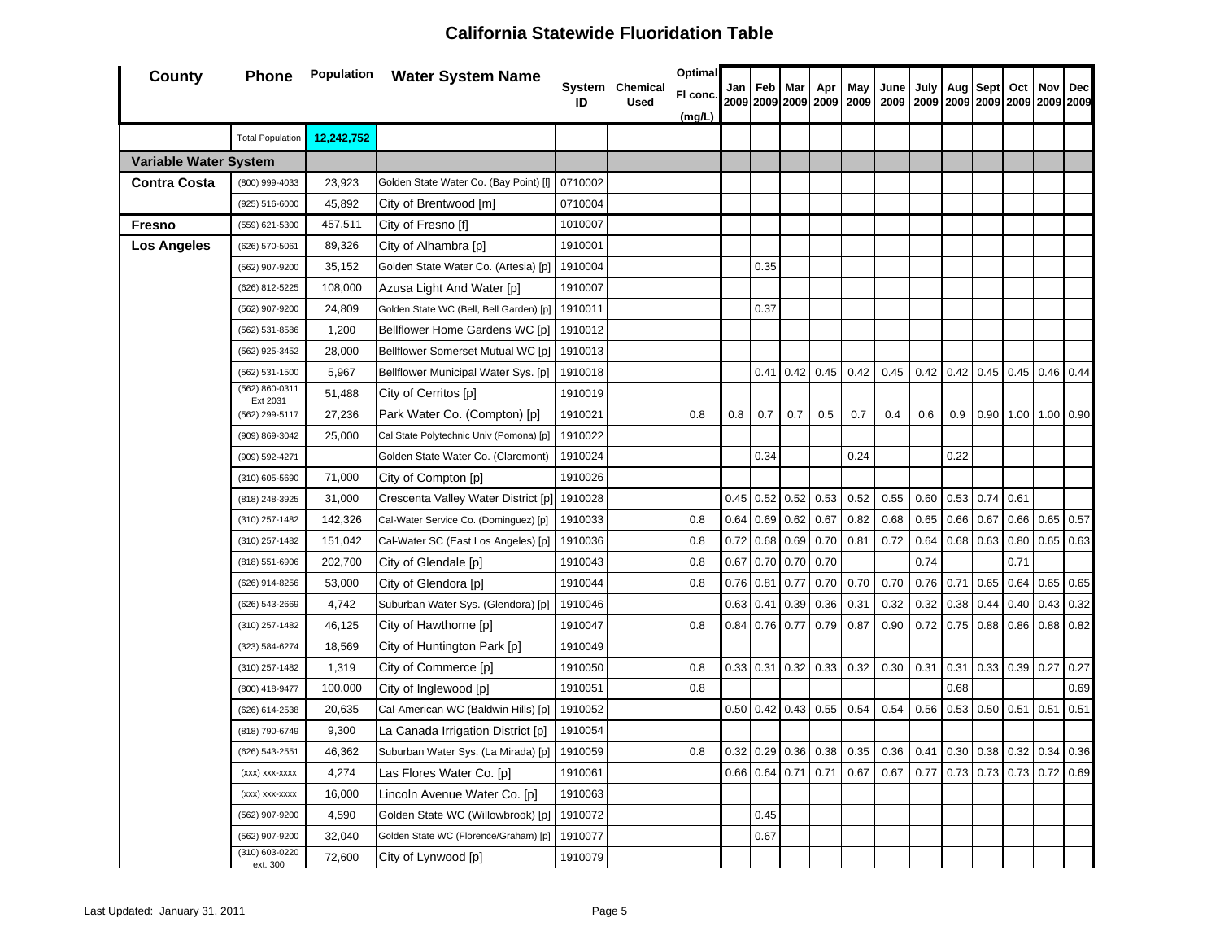| County                       | Phone                            |            | <b>Population</b> Water System Name     | ID      | System Chemical<br><b>Used</b> | <b>Optimal</b><br>FI conc. | Jan  | Feb<br>2009 2009 2009 2009 | Mar  | Apr  | May<br>2009 | June<br>2009 | July | Aug<br>2009 2009 2009 2009 | Sept        | Oct  | Nov         | <b>Dec</b><br>2009 2009 |
|------------------------------|----------------------------------|------------|-----------------------------------------|---------|--------------------------------|----------------------------|------|----------------------------|------|------|-------------|--------------|------|----------------------------|-------------|------|-------------|-------------------------|
|                              | <b>Total Population</b>          | 12,242,752 |                                         |         |                                | (mg/L)                     |      |                            |      |      |             |              |      |                            |             |      |             |                         |
| <b>Variable Water System</b> |                                  |            |                                         |         |                                |                            |      |                            |      |      |             |              |      |                            |             |      |             |                         |
| <b>Contra Costa</b>          | (800) 999-4033                   | 23,923     | Golden State Water Co. (Bay Point) [I]  | 0710002 |                                |                            |      |                            |      |      |             |              |      |                            |             |      |             |                         |
|                              | (925) 516-6000                   | 45,892     | City of Brentwood [m]                   | 0710004 |                                |                            |      |                            |      |      |             |              |      |                            |             |      |             |                         |
| <b>Fresno</b>                | (559) 621-5300                   | 457,511    | City of Fresno [f]                      | 1010007 |                                |                            |      |                            |      |      |             |              |      |                            |             |      |             |                         |
| <b>Los Angeles</b>           | (626) 570-5061                   | 89,326     | City of Alhambra [p]                    | 1910001 |                                |                            |      |                            |      |      |             |              |      |                            |             |      |             |                         |
|                              | (562) 907-9200                   | 35,152     | Golden State Water Co. (Artesia) [p]    | 1910004 |                                |                            |      | 0.35                       |      |      |             |              |      |                            |             |      |             |                         |
|                              | (626) 812-5225                   | 108,000    | Azusa Light And Water [p]               | 1910007 |                                |                            |      |                            |      |      |             |              |      |                            |             |      |             |                         |
|                              | (562) 907-9200                   | 24,809     | Golden State WC (Bell, Bell Garden) [p] | 1910011 |                                |                            |      | 0.37                       |      |      |             |              |      |                            |             |      |             |                         |
|                              | (562) 531-8586                   | 1,200      | Bellflower Home Gardens WC [p]          | 1910012 |                                |                            |      |                            |      |      |             |              |      |                            |             |      |             |                         |
|                              | (562) 925-3452                   | 28,000     | Bellflower Somerset Mutual WC [p]       | 1910013 |                                |                            |      |                            |      |      |             |              |      |                            |             |      |             |                         |
|                              | (562) 531-1500                   | 5,967      | Bellflower Municipal Water Sys. [p]     | 1910018 |                                |                            |      | 0.41                       | 0.42 | 0.45 | 0.42        | 0.45         | 0.42 | 0.42                       | $0.45$ 0.45 |      | 0.46        | 0.44                    |
|                              | (562) 860-0311                   | 51,488     | City of Cerritos [p]                    | 1910019 |                                |                            |      |                            |      |      |             |              |      |                            |             |      |             |                         |
|                              | (562) 299-5117                   | 27,236     | Park Water Co. (Compton) [p]            | 1910021 |                                | 0.8                        | 0.8  | 0.7                        | 0.7  | 0.5  | 0.7         | 0.4          | 0.6  | 0.9                        | 0.90        |      | $1.00$ 1.00 | 0.90                    |
|                              | (909) 869-3042                   | 25,000     | Cal State Polytechnic Univ (Pomona) [p] | 1910022 |                                |                            |      |                            |      |      |             |              |      |                            |             |      |             |                         |
|                              | (909) 592-4271                   |            | Golden State Water Co. (Claremont)      | 1910024 |                                |                            |      | 0.34                       |      |      | 0.24        |              |      | 0.22                       |             |      |             |                         |
|                              | (310) 605-5690                   | 71,000     | City of Compton [p]                     | 1910026 |                                |                            |      |                            |      |      |             |              |      |                            |             |      |             |                         |
|                              | (818) 248-3925                   | 31,000     | Crescenta Valley Water District [p]     | 1910028 |                                |                            | 0.45 | 0.52                       | 0.52 | 0.53 | 0.52        | 0.55         | 0.60 | 0.53                       | 0.74        | 0.61 |             |                         |
|                              | (310) 257-1482                   | 142,326    | Cal-Water Service Co. (Dominguez) [p]   | 1910033 |                                | 0.8                        | 0.64 | 0.69                       | 0.62 | 0.67 | 0.82        | 0.68         | 0.65 | 0.66                       | 0.67        | 0.66 | 0.65        | 0.57                    |
|                              | (310) 257-1482                   | 151,042    | Cal-Water SC (East Los Angeles) [p]     | 1910036 |                                | 0.8                        | 0.72 | 0.68                       | 0.69 | 0.70 | 0.81        | 0.72         | 0.64 | 0.68                       | 0.63        | 0.80 | 0.65        | 0.63                    |
|                              | (818) 551-6906                   | 202,700    | City of Glendale [p]                    | 1910043 |                                | 0.8                        | 0.67 | 0.70                       | 0.70 | 0.70 |             |              | 0.74 |                            |             | 0.71 |             |                         |
|                              | (626) 914-8256                   | 53,000     | City of Glendora [p]                    | 1910044 |                                | 0.8                        | 0.76 | 0.81                       | 0.77 | 0.70 | 0.70        | 0.70         | 0.76 | 0.71                       | 0.65        | 0.64 | 0.65        | 0.65                    |
|                              | (626) 543-2669                   | 4,742      | Suburban Water Sys. (Glendora) [p]      | 1910046 |                                |                            | 0.63 | 0.41                       | 0.39 | 0.36 | 0.31        | 0.32         | 0.32 | 0.38                       | 0.44        | 0.40 | 0.43        | 0.32                    |
|                              | (310) 257-1482                   | 46,125     | City of Hawthorne [p]                   | 1910047 |                                | 0.8                        | 0.84 | 0.76                       | 0.77 | 0.79 | 0.87        | 0.90         | 0.72 | 0.75                       | 0.88        | 0.86 | 0.88        | 0.82                    |
|                              | (323) 584-6274                   | 18,569     | City of Huntington Park [p]             | 1910049 |                                |                            |      |                            |      |      |             |              |      |                            |             |      |             |                         |
|                              | (310) 257-1482                   | 1,319      | City of Commerce [p]                    | 1910050 |                                | 0.8                        | 0.33 | 0.31                       | 0.32 | 0.33 | 0.32        | 0.30         | 0.31 | 0.31                       | 0.33        | 0.39 | 0.27        | 0.27                    |
|                              | (800) 418-9477                   | 100,000    | City of Inglewood [p]                   | 1910051 |                                | 0.8                        |      |                            |      |      |             |              |      | 0.68                       |             |      |             | 0.69                    |
|                              | (626) 614-2538                   | 20,635     | Cal-American WC (Baldwin Hills) [p]     | 1910052 |                                |                            | 0.50 | 0.42                       | 0.43 | 0.55 | 0.54        | 0.54         | 0.56 | 0.53                       | 0.50        | 0.51 | 0.51        | 0.51                    |
|                              | (818) 790-6749                   | 9,300      | La Canada Irrigation District [p]       | 1910054 |                                |                            |      |                            |      |      |             |              |      |                            |             |      |             |                         |
|                              | (626) 543-2551                   | 46,362     | Suburban Water Sys. (La Mirada) [p]     | 1910059 |                                | 0.8                        | 0.32 | 0.29                       | 0.36 | 0.38 | 0.35        | 0.36         | 0.41 | 0.30                       | 0.38        | 0.32 | 0.34        | 0.36                    |
|                              | (xxx) xxx-xxxx                   | 4,274      | Las Flores Water Co. [p]                | 1910061 |                                |                            | 0.66 | 0.64                       | 0.71 | 0.71 | 0.67        | 0.67         | 0.77 | 0.73                       | 0.73        | 0.73 | 0.72        | 0.69                    |
|                              | (xxx) xxx-xxxx                   | 16,000     | Lincoln Avenue Water Co. [p]            | 1910063 |                                |                            |      |                            |      |      |             |              |      |                            |             |      |             |                         |
|                              | (562) 907-9200                   | 4,590      | Golden State WC (Willowbrook) [p]       | 1910072 |                                |                            |      | 0.45                       |      |      |             |              |      |                            |             |      |             |                         |
|                              | (562) 907-9200<br>(310) 603-0220 | 32,040     | Golden State WC (Florence/Graham) [p]   | 1910077 |                                |                            |      | 0.67                       |      |      |             |              |      |                            |             |      |             |                         |
|                              | ext. 300                         | 72,600     | City of Lynwood [p]                     | 1910079 |                                |                            |      |                            |      |      |             |              |      |                            |             |      |             |                         |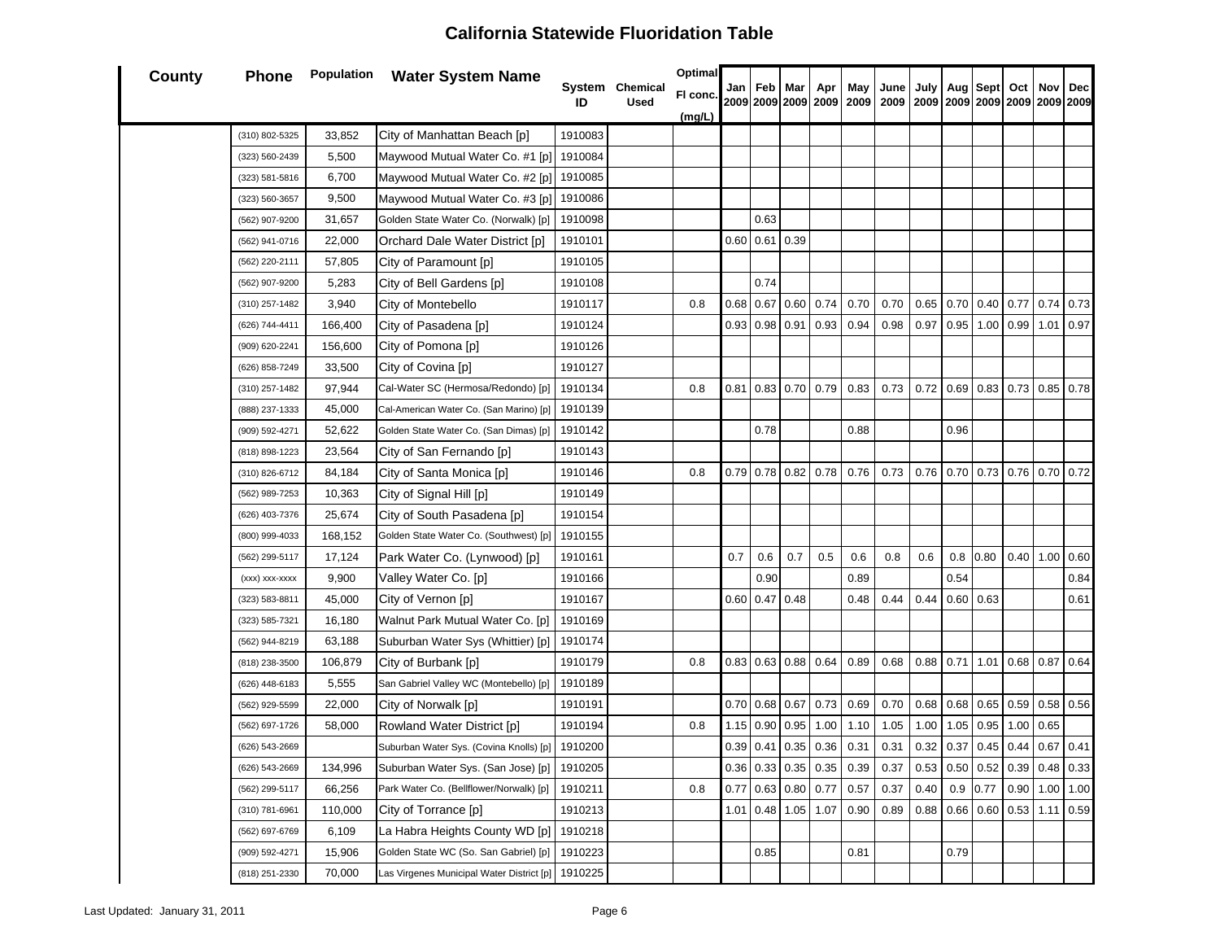| <b>County</b> | Phone          | Population | <b>Water System Name</b>                  |         | System Chemical | Optimal  | Jan  | Feb         | Mar              | Apr                   | May                      | June                               | July |      | Sept | Oct                             | Nov         | Dec         |
|---------------|----------------|------------|-------------------------------------------|---------|-----------------|----------|------|-------------|------------------|-----------------------|--------------------------|------------------------------------|------|------|------|---------------------------------|-------------|-------------|
|               |                |            |                                           | ID      | <b>Used</b>     | FI conc. |      |             |                  |                       | 2009 2009 2009 2009 2009 | 2009 2009 2009 2009 2009 2009 2009 |      | Aug  |      |                                 |             |             |
|               |                |            |                                           |         |                 | (mg/L)   |      |             |                  |                       |                          |                                    |      |      |      |                                 |             |             |
|               | (310) 802-5325 | 33,852     | City of Manhattan Beach [p]               | 1910083 |                 |          |      |             |                  |                       |                          |                                    |      |      |      |                                 |             |             |
|               | (323) 560-2439 | 5,500      | Maywood Mutual Water Co. #1 [p]           | 1910084 |                 |          |      |             |                  |                       |                          |                                    |      |      |      |                                 |             |             |
|               | (323) 581-5816 | 6,700      | Maywood Mutual Water Co. #2 [p]           | 1910085 |                 |          |      |             |                  |                       |                          |                                    |      |      |      |                                 |             |             |
|               | (323) 560-3657 | 9,500      | Maywood Mutual Water Co. #3 [p]           | 1910086 |                 |          |      |             |                  |                       |                          |                                    |      |      |      |                                 |             |             |
|               | (562) 907-9200 | 31,657     | Golden State Water Co. (Norwalk) [p]      | 1910098 |                 |          |      | 0.63        |                  |                       |                          |                                    |      |      |      |                                 |             |             |
|               | (562) 941-0716 | 22,000     | Orchard Dale Water District [p]           | 1910101 |                 |          | 0.60 | $0.61$ 0.39 |                  |                       |                          |                                    |      |      |      |                                 |             |             |
|               | (562) 220-2111 | 57,805     | City of Paramount [p]                     | 1910105 |                 |          |      |             |                  |                       |                          |                                    |      |      |      |                                 |             |             |
|               | (562) 907-9200 | 5,283      | City of Bell Gardens [p]                  | 1910108 |                 |          |      | 0.74        |                  |                       |                          |                                    |      |      |      |                                 |             |             |
|               | (310) 257-1482 | 3,940      | City of Montebello                        | 1910117 |                 | 0.8      | 0.68 | 0.67        | 0.60             | 0.74                  | 0.70                     | 0.70                               | 0.65 | 0.70 | 0.40 | 0.77                            | 0.74        | 0.73        |
|               | (626) 744-4411 | 166,400    | City of Pasadena [p]                      | 1910124 |                 |          | 0.93 | $0.98$ 0.91 |                  | 0.93                  | 0.94                     | 0.98                               | 0.97 | 0.95 | 1.00 | 0.99                            | 1.01        | 0.97        |
|               | (909) 620-2241 | 156,600    | City of Pomona [p]                        | 1910126 |                 |          |      |             |                  |                       |                          |                                    |      |      |      |                                 |             |             |
|               | (626) 858-7249 | 33,500     | City of Covina [p]                        | 1910127 |                 |          |      |             |                  |                       |                          |                                    |      |      |      |                                 |             |             |
|               | (310) 257-1482 | 97,944     | Cal-Water SC (Hermosa/Redondo) [p]        | 1910134 |                 | 0.8      | 0.81 |             | $0.83$ 0.70 0.79 |                       | 0.83                     | 0.73                               | 0.72 | 0.69 |      | $0.83$ 0.73 0.85 0.78           |             |             |
|               | (888) 237-1333 | 45,000     | Cal-American Water Co. (San Marino) [p]   | 1910139 |                 |          |      |             |                  |                       |                          |                                    |      |      |      |                                 |             |             |
|               | (909) 592-4271 | 52,622     | Golden State Water Co. (San Dimas) [p]    | 1910142 |                 |          |      | 0.78        |                  |                       | 0.88                     |                                    |      | 0.96 |      |                                 |             |             |
|               | (818) 898-1223 | 23,564     | City of San Fernando [p]                  | 1910143 |                 |          |      |             |                  |                       |                          |                                    |      |      |      |                                 |             |             |
|               | (310) 826-6712 | 84,184     | City of Santa Monica [p]                  | 1910146 |                 | 0.8      | 0.79 | $0.78$ 0.82 |                  | 0.78                  | 0.76                     | 0.73                               | 0.76 | 0.70 | 0.73 |                                 | $0.76$ 0.70 | 0.72        |
|               | (562) 989-7253 | 10,363     | City of Signal Hill [p]                   | 1910149 |                 |          |      |             |                  |                       |                          |                                    |      |      |      |                                 |             |             |
|               | (626) 403-7376 | 25,674     | City of South Pasadena [p]                | 1910154 |                 |          |      |             |                  |                       |                          |                                    |      |      |      |                                 |             |             |
|               | (800) 999-4033 | 168,152    | Golden State Water Co. (Southwest) [p]    | 1910155 |                 |          |      |             |                  |                       |                          |                                    |      |      |      |                                 |             |             |
|               | (562) 299-5117 | 17,124     | Park Water Co. (Lynwood) [p]              | 1910161 |                 |          | 0.7  | 0.6         | 0.7              | 0.5                   | 0.6                      | 0.8                                | 0.6  | 0.8  | 0.80 | 0.40                            | 1.00        | 0.60        |
|               | (xxx) xxx-xxxx | 9,900      | Valley Water Co. [p]                      | 1910166 |                 |          |      | 0.90        |                  |                       | 0.89                     |                                    |      | 0.54 |      |                                 |             | 0.84        |
|               | (323) 583-8811 | 45,000     | City of Vernon [p]                        | 1910167 |                 |          | 0.60 | 0.47        | 0.48             |                       | 0.48                     | 0.44                               | 0.44 | 0.60 | 0.63 |                                 |             | 0.61        |
|               | (323) 585-7321 | 16,180     | Walnut Park Mutual Water Co. [p]          | 1910169 |                 |          |      |             |                  |                       |                          |                                    |      |      |      |                                 |             |             |
|               | (562) 944-8219 | 63,188     | Suburban Water Sys (Whittier) [p]         | 1910174 |                 |          |      |             |                  |                       |                          |                                    |      |      |      |                                 |             |             |
|               | (818) 238-3500 | 106,879    | City of Burbank [p]                       | 1910179 |                 | 0.8      | 0.83 |             | $0.63$ 0.88 0.64 |                       | 0.89                     | 0.68                               | 0.88 | 0.71 | 1.01 |                                 | $0.68$ 0.87 | 0.64        |
|               | (626) 448-6183 | 5,555      | San Gabriel Valley WC (Montebello) [p]    | 1910189 |                 |          |      |             |                  |                       |                          |                                    |      |      |      |                                 |             |             |
|               | (562) 929-5599 | 22,000     | City of Norwalk [p]                       | 1910191 |                 |          | 0.70 |             | $0.68$ 0.67      | 0.73                  | 0.69                     | 0.70                               | 0.68 | 0.68 |      | $0.65$ 0.59 0.58 0.56           |             |             |
|               | (562) 697-1726 | 58,000     | Rowland Water District [p]                | 1910194 |                 | 0.8      | 1.15 | $0.90\,$    | 0.95             | 1.00                  | 1.10                     | 1.05                               | 1.00 | 1.05 | 0.95 | 1.00                            | 0.65        |             |
|               | (626) 543-2669 |            | Suburban Water Sys. (Covina Knolls) [p]   | 1910200 |                 |          |      |             | $0.39$ 0.41 0.35 | 0.36                  | 0.31                     | 0.31                               | 0.32 | 0.37 | 0.45 | 0.44                            |             | $0.67$ 0.41 |
|               | (626) 543-2669 | 134,996    | Suburban Water Sys. (San Jose) [p]        | 1910205 |                 |          |      |             |                  | $0.36$ 0.33 0.35 0.35 | 0.39                     | 0.37                               |      |      |      | $0.53$ 0.50 0.52 0.39 0.48 0.33 |             |             |
|               | (562) 299-5117 | 66,256     | Park Water Co. (Bellflower/Norwalk) [p]   | 1910211 |                 | 0.8      | 0.77 |             | 0.63   0.80      | 0.77                  | 0.57                     | 0.37                               | 0.40 | 0.9  | 0.77 | 0.90                            | 1.00        | 1.00        |
|               | (310) 781-6961 | 110,000    | City of Torrance [p]                      | 1910213 |                 |          | 1.01 |             | $0.48$ 1.05      | 1.07                  | 0.90                     | 0.89                               | 0.88 | 0.66 | 0.60 | 0.53                            | $1.11$ 0.59 |             |
|               | (562) 697-6769 | 6,109      | La Habra Heights County WD [p]            | 1910218 |                 |          |      |             |                  |                       |                          |                                    |      |      |      |                                 |             |             |
|               | (909) 592-4271 | 15,906     | Golden State WC (So. San Gabriel) [p]     | 1910223 |                 |          |      | 0.85        |                  |                       | 0.81                     |                                    |      | 0.79 |      |                                 |             |             |
|               | (818) 251-2330 | 70,000     | Las Virgenes Municipal Water District [p] | 1910225 |                 |          |      |             |                  |                       |                          |                                    |      |      |      |                                 |             |             |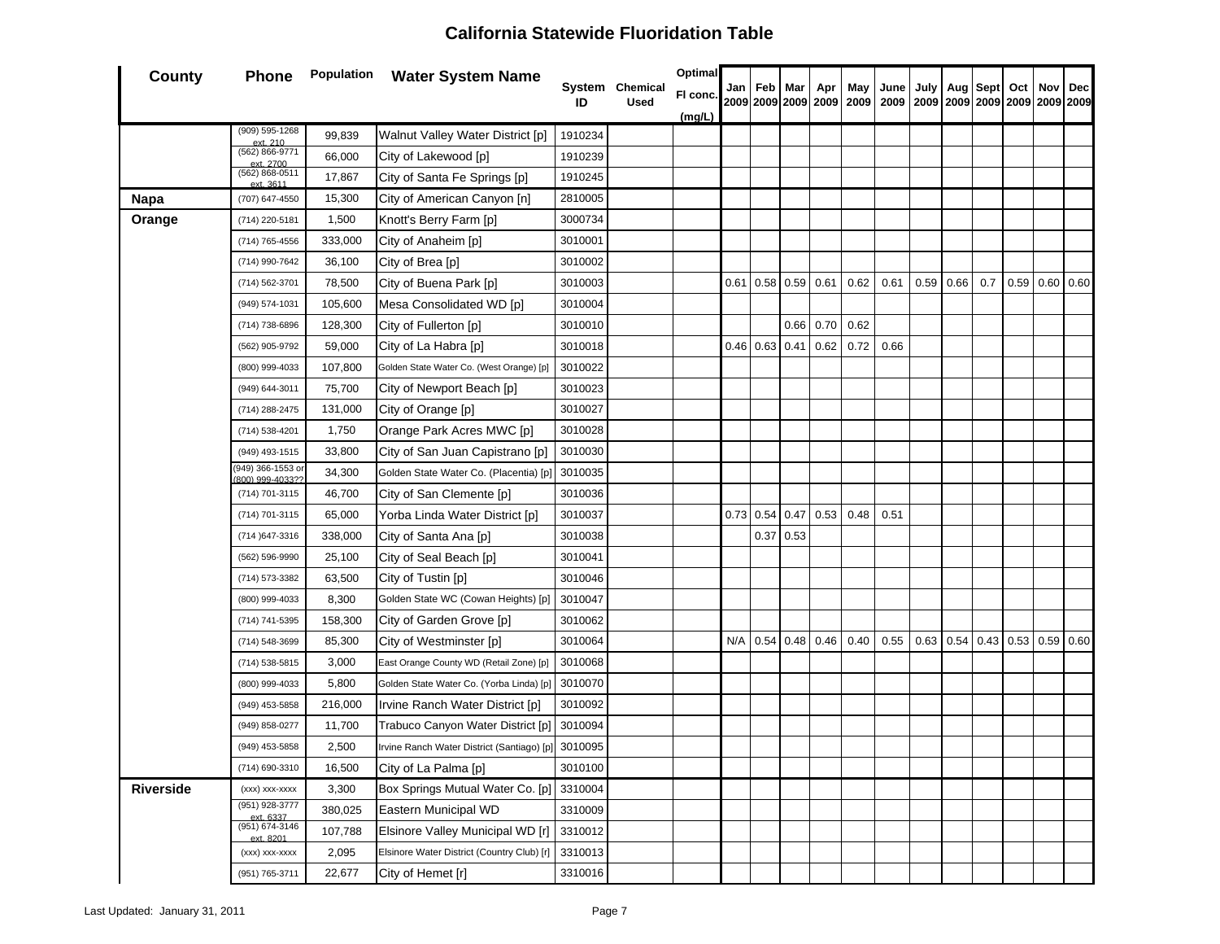| <b>County</b>    | Phone                               |         | <b>Population</b> Water System Name                |         | System Chemical | Optimal  | Jan  | Feb         | Mar         | Apr               | May  | June | July |                  | Aug Sept | Oct | Nov              | Dec |
|------------------|-------------------------------------|---------|----------------------------------------------------|---------|-----------------|----------|------|-------------|-------------|-------------------|------|------|------|------------------|----------|-----|------------------|-----|
|                  |                                     |         |                                                    | ID      | <b>Used</b>     | FI conc. |      |             |             |                   |      |      |      |                  |          |     |                  |     |
|                  | (909) 595-1268                      | 99,839  | Walnut Valley Water District [p]                   | 1910234 |                 | (mg/L)   |      |             |             |                   |      |      |      |                  |          |     |                  |     |
|                  | ext. 210<br>(562) 866-9771          | 66,000  | City of Lakewood [p]                               | 1910239 |                 |          |      |             |             |                   |      |      |      |                  |          |     |                  |     |
|                  | ext. 2700<br>(562) 868-0511         | 17,867  | City of Santa Fe Springs [p]                       | 1910245 |                 |          |      |             |             |                   |      |      |      |                  |          |     |                  |     |
| Napa             | ext 3611<br>(707) 647-4550          | 15,300  | City of American Canyon [n]                        | 2810005 |                 |          |      |             |             |                   |      |      |      |                  |          |     |                  |     |
| Orange           | (714) 220-5181                      | 1,500   | Knott's Berry Farm [p]                             | 3000734 |                 |          |      |             |             |                   |      |      |      |                  |          |     |                  |     |
|                  | (714) 765-4556                      | 333,000 | City of Anaheim [p]                                | 3010001 |                 |          |      |             |             |                   |      |      |      |                  |          |     |                  |     |
|                  | (714) 990-7642                      | 36,100  | City of Brea [p]                                   | 3010002 |                 |          |      |             |             |                   |      |      |      |                  |          |     |                  |     |
|                  | (714) 562-3701                      | 78,500  | City of Buena Park [p]                             | 3010003 |                 |          | 0.61 | 0.58        | $0.59$ 0.61 |                   | 0.62 | 0.61 |      | 0.59 0.66        | 0.7      |     | $0.59$ 0.60 0.60 |     |
|                  | (949) 574-1031                      | 105,600 | Mesa Consolidated WD [p]                           | 3010004 |                 |          |      |             |             |                   |      |      |      |                  |          |     |                  |     |
|                  | (714) 738-6896                      | 128,300 | City of Fullerton [p]                              | 3010010 |                 |          |      |             | 0.66        | 0.70              | 0.62 |      |      |                  |          |     |                  |     |
|                  | (562) 905-9792                      | 59,000  | City of La Habra [p]                               | 3010018 |                 |          |      | $0.46$ 0.63 | 0.41        | 0.62              | 0.72 | 0.66 |      |                  |          |     |                  |     |
|                  | (800) 999-4033                      | 107,800 | Golden State Water Co. (West Orange) [p]           | 3010022 |                 |          |      |             |             |                   |      |      |      |                  |          |     |                  |     |
|                  | (949) 644-3011                      | 75,700  | City of Newport Beach [p]                          | 3010023 |                 |          |      |             |             |                   |      |      |      |                  |          |     |                  |     |
|                  | (714) 288-2475                      | 131,000 | City of Orange [p]                                 | 3010027 |                 |          |      |             |             |                   |      |      |      |                  |          |     |                  |     |
|                  | (714) 538-4201                      | 1,750   | Orange Park Acres MWC [p]                          | 3010028 |                 |          |      |             |             |                   |      |      |      |                  |          |     |                  |     |
|                  | (949) 493-1515                      | 33,800  | City of San Juan Capistrano [p]                    | 3010030 |                 |          |      |             |             |                   |      |      |      |                  |          |     |                  |     |
|                  | 949) 366-1553 or<br>800) 999-4033?? | 34,300  | Golden State Water Co. (Placentia) [p]             | 3010035 |                 |          |      |             |             |                   |      |      |      |                  |          |     |                  |     |
|                  | (714) 701-3115                      | 46,700  | City of San Clemente [p]                           | 3010036 |                 |          |      |             |             |                   |      |      |      |                  |          |     |                  |     |
|                  | (714) 701-3115                      | 65,000  | Yorba Linda Water District [p]                     | 3010037 |                 |          | 0.73 | 0.54        | 0.47        | 0.53              | 0.48 | 0.51 |      |                  |          |     |                  |     |
|                  | (714) 647-3316                      | 338,000 | City of Santa Ana [p]                              | 3010038 |                 |          |      | 0.37        | 0.53        |                   |      |      |      |                  |          |     |                  |     |
|                  | (562) 596-9990                      | 25,100  | City of Seal Beach [p]                             | 3010041 |                 |          |      |             |             |                   |      |      |      |                  |          |     |                  |     |
|                  | (714) 573-3382                      | 63,500  | City of Tustin [p]                                 | 3010046 |                 |          |      |             |             |                   |      |      |      |                  |          |     |                  |     |
|                  | (800) 999-4033                      | 8,300   | Golden State WC (Cowan Heights) [p]                | 3010047 |                 |          |      |             |             |                   |      |      |      |                  |          |     |                  |     |
|                  | (714) 741-5395                      | 158,300 | City of Garden Grove [p]                           | 3010062 |                 |          |      |             |             |                   |      |      |      |                  |          |     |                  |     |
|                  | (714) 548-3699                      | 85,300  | City of Westminster [p]                            | 3010064 |                 |          | N/A  | 0.54        |             | $0.48 \quad 0.46$ | 0.40 | 0.55 |      | $0.63$ 0.54 0.43 |          |     | $0.53$ 0.59 0.60 |     |
|                  | (714) 538-5815                      | 3,000   | East Orange County WD (Retail Zone) [p]            | 3010068 |                 |          |      |             |             |                   |      |      |      |                  |          |     |                  |     |
|                  | (800) 999-4033                      | 5,800   | Golden State Water Co. (Yorba Linda) [p]           | 3010070 |                 |          |      |             |             |                   |      |      |      |                  |          |     |                  |     |
|                  | (949) 453-5858                      | 216,000 | Irvine Ranch Water District [p]                    | 3010092 |                 |          |      |             |             |                   |      |      |      |                  |          |     |                  |     |
|                  | (949) 858-0277                      | 11,700  | Trabuco Canyon Water District [p]                  | 3010094 |                 |          |      |             |             |                   |      |      |      |                  |          |     |                  |     |
|                  | (949) 453-5858                      | 2,500   | Irvine Ranch Water District (Santiago) [p] 3010095 |         |                 |          |      |             |             |                   |      |      |      |                  |          |     |                  |     |
|                  | (714) 690-3310                      | 16,500  | City of La Palma [p]                               | 3010100 |                 |          |      |             |             |                   |      |      |      |                  |          |     |                  |     |
| <b>Riverside</b> | (xxx) xxx-xxxx                      | 3,300   | Box Springs Mutual Water Co. [p]                   | 3310004 |                 |          |      |             |             |                   |      |      |      |                  |          |     |                  |     |
|                  | (951) 928-3777<br>ext. 6337         | 380,025 | Eastern Municipal WD                               | 3310009 |                 |          |      |             |             |                   |      |      |      |                  |          |     |                  |     |
|                  | (951) 674-3146<br>ext. 8201         | 107,788 | Elsinore Valley Municipal WD [r]                   | 3310012 |                 |          |      |             |             |                   |      |      |      |                  |          |     |                  |     |
|                  | (xxx) xxx-xxxx                      | 2,095   | Elsinore Water District (Country Club) [r]         | 3310013 |                 |          |      |             |             |                   |      |      |      |                  |          |     |                  |     |
|                  | (951) 765-3711                      | 22,677  | City of Hemet [r]                                  | 3310016 |                 |          |      |             |             |                   |      |      |      |                  |          |     |                  |     |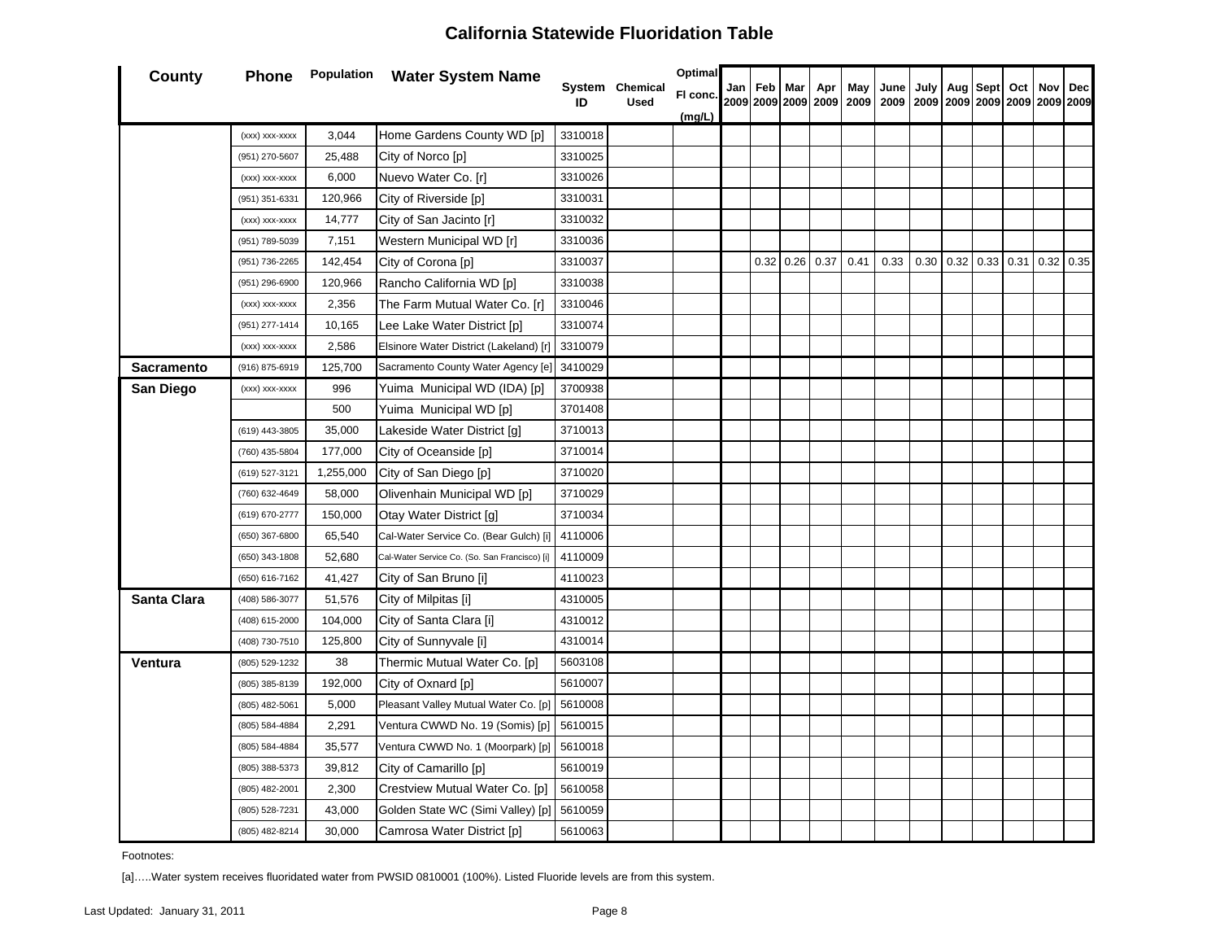| <b>County</b>     | Phone          |           | <b>Population</b> Water System Name           |         |                                | <b>Optimal</b> |     |      |     |               |      |                                       |      |                       |      |     |                  |                                      |
|-------------------|----------------|-----------|-----------------------------------------------|---------|--------------------------------|----------------|-----|------|-----|---------------|------|---------------------------------------|------|-----------------------|------|-----|------------------|--------------------------------------|
|                   |                |           |                                               | ID      | System Chemical<br><b>Used</b> | FI conc.       | Jan | Feb  | Mar | Apr           | May  | June<br>2009 2009 2009 2009 2009 2009 | July | Aug                   | Sept | Oct | Nov              | Dec<br>2009 2009 2009 2009 2009 2009 |
|                   |                |           |                                               |         |                                | (mg/L)         |     |      |     |               |      |                                       |      |                       |      |     |                  |                                      |
|                   | (xxx) xxx-xxxx | 3,044     | Home Gardens County WD [p]                    | 3310018 |                                |                |     |      |     |               |      |                                       |      |                       |      |     |                  |                                      |
|                   | (951) 270-5607 | 25,488    | City of Norco [p]                             | 3310025 |                                |                |     |      |     |               |      |                                       |      |                       |      |     |                  |                                      |
|                   | (xxx) xxx-xxxx | 6,000     | Nuevo Water Co. [r]                           | 3310026 |                                |                |     |      |     |               |      |                                       |      |                       |      |     |                  |                                      |
|                   | (951) 351-6331 | 120,966   | City of Riverside [p]                         | 3310031 |                                |                |     |      |     |               |      |                                       |      |                       |      |     |                  |                                      |
|                   | (xxx) xxx-xxxx | 14,777    | City of San Jacinto [r]                       | 3310032 |                                |                |     |      |     |               |      |                                       |      |                       |      |     |                  |                                      |
|                   | (951) 789-5039 | 7,151     | Western Municipal WD [r]                      | 3310036 |                                |                |     |      |     |               |      |                                       |      |                       |      |     |                  |                                      |
|                   | (951) 736-2265 | 142,454   | City of Corona [p]                            | 3310037 |                                |                |     | 0.32 |     | $0.26 \ 0.37$ | 0.41 | 0.33                                  |      | $0.30 \mid 0.32 \mid$ | 0.33 |     | $0.31$ 0.32 0.35 |                                      |
|                   | (951) 296-6900 | 120,966   | Rancho California WD [p]                      | 3310038 |                                |                |     |      |     |               |      |                                       |      |                       |      |     |                  |                                      |
|                   | (xxx) xxx-xxxx | 2,356     | The Farm Mutual Water Co. [r]                 | 3310046 |                                |                |     |      |     |               |      |                                       |      |                       |      |     |                  |                                      |
|                   | (951) 277-1414 | 10,165    | Lee Lake Water District [p]                   | 3310074 |                                |                |     |      |     |               |      |                                       |      |                       |      |     |                  |                                      |
|                   | (xxx) xxx-xxxx | 2,586     | Elsinore Water District (Lakeland) [r]        | 3310079 |                                |                |     |      |     |               |      |                                       |      |                       |      |     |                  |                                      |
| <b>Sacramento</b> | (916) 875-6919 | 125,700   | Sacramento County Water Agency [e]            | 3410029 |                                |                |     |      |     |               |      |                                       |      |                       |      |     |                  |                                      |
| San Diego         | (xxx) xxx-xxxx | 996       | Yuima Municipal WD (IDA) [p]                  | 3700938 |                                |                |     |      |     |               |      |                                       |      |                       |      |     |                  |                                      |
|                   |                | 500       | Yuima Municipal WD [p]                        | 3701408 |                                |                |     |      |     |               |      |                                       |      |                       |      |     |                  |                                      |
|                   | (619) 443-3805 | 35,000    | Lakeside Water District [g]                   | 3710013 |                                |                |     |      |     |               |      |                                       |      |                       |      |     |                  |                                      |
|                   | (760) 435-5804 | 177,000   | City of Oceanside [p]                         | 3710014 |                                |                |     |      |     |               |      |                                       |      |                       |      |     |                  |                                      |
|                   | (619) 527-3121 | 1,255,000 | City of San Diego [p]                         | 3710020 |                                |                |     |      |     |               |      |                                       |      |                       |      |     |                  |                                      |
|                   | (760) 632-4649 | 58,000    | Olivenhain Municipal WD [p]                   | 3710029 |                                |                |     |      |     |               |      |                                       |      |                       |      |     |                  |                                      |
|                   | (619) 670-2777 | 150,000   | Otay Water District [g]                       | 3710034 |                                |                |     |      |     |               |      |                                       |      |                       |      |     |                  |                                      |
|                   | (650) 367-6800 | 65,540    | Cal-Water Service Co. (Bear Gulch) [i]        | 4110006 |                                |                |     |      |     |               |      |                                       |      |                       |      |     |                  |                                      |
|                   | (650) 343-1808 | 52,680    | Cal-Water Service Co. (So. San Francisco) [i] | 4110009 |                                |                |     |      |     |               |      |                                       |      |                       |      |     |                  |                                      |
|                   | (650) 616-7162 | 41,427    | City of San Bruno [i]                         | 4110023 |                                |                |     |      |     |               |      |                                       |      |                       |      |     |                  |                                      |
| Santa Clara       | (408) 586-3077 | 51,576    | City of Milpitas [i]                          | 4310005 |                                |                |     |      |     |               |      |                                       |      |                       |      |     |                  |                                      |
|                   | (408) 615-2000 | 104,000   | City of Santa Clara [i]                       | 4310012 |                                |                |     |      |     |               |      |                                       |      |                       |      |     |                  |                                      |
|                   | (408) 730-7510 | 125,800   | City of Sunnyvale [i]                         | 4310014 |                                |                |     |      |     |               |      |                                       |      |                       |      |     |                  |                                      |
| Ventura           | (805) 529-1232 | 38        | Thermic Mutual Water Co. [p]                  | 5603108 |                                |                |     |      |     |               |      |                                       |      |                       |      |     |                  |                                      |
|                   | (805) 385-8139 | 192,000   | City of Oxnard [p]                            | 5610007 |                                |                |     |      |     |               |      |                                       |      |                       |      |     |                  |                                      |
|                   | (805) 482-5061 | 5,000     | Pleasant Valley Mutual Water Co. [p]          | 5610008 |                                |                |     |      |     |               |      |                                       |      |                       |      |     |                  |                                      |
|                   | (805) 584-4884 | 2,291     | Ventura CWWD No. 19 (Somis) [p]               | 5610015 |                                |                |     |      |     |               |      |                                       |      |                       |      |     |                  |                                      |
|                   | (805) 584-4884 | 35,577    | Ventura CWWD No. 1 (Moorpark) [p]             | 5610018 |                                |                |     |      |     |               |      |                                       |      |                       |      |     |                  |                                      |
|                   | (805) 388-5373 | 39,812    | City of Camarillo [p]                         | 5610019 |                                |                |     |      |     |               |      |                                       |      |                       |      |     |                  |                                      |
|                   | (805) 482-2001 | 2,300     | Crestview Mutual Water Co. [p]                | 5610058 |                                |                |     |      |     |               |      |                                       |      |                       |      |     |                  |                                      |
|                   | (805) 528-7231 | 43,000    | Golden State WC (Simi Valley) [p]             | 5610059 |                                |                |     |      |     |               |      |                                       |      |                       |      |     |                  |                                      |
|                   | (805) 482-8214 | 30,000    | Camrosa Water District [p]                    | 5610063 |                                |                |     |      |     |               |      |                                       |      |                       |      |     |                  |                                      |

Footnotes:

[a]…..Water system receives fluoridated water from PWSID 0810001 (100%). Listed Fluoride levels are from this system.